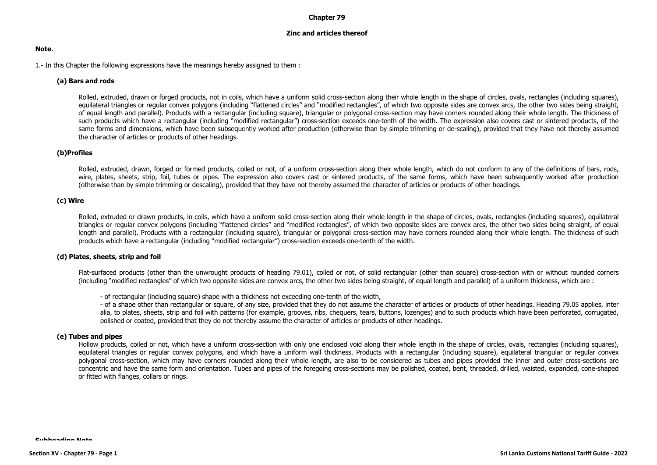### **Chapter 79**

## **Zinc and articles thereof**

### **Note.**

1.- In this Chapter the following expressions have the meanings hereby assigned to them :

## **(a) Bars and rods**

Rolled, extruded, drawn or forged products, not in coils, which have a uniform solid cross-section along their whole length in the shape of circles, ovals, rectangles (including squares), equilateral triangles or regular convex polygons (including "flattened circles" and "modified rectangles", of which two opposite sides are convex arcs, the other two sides being straight, of equal length and parallel). Products with a rectangular (including square), triangular or polygonal cross-section may have corners rounded along their whole length. The thickness of such products which have a rectangular (including "modified rectangular") cross-section exceeds one-tenth of the width. The expression also covers cast or sintered products, of the same forms and dimensions, which have been subsequently worked after production (otherwise than by simple trimming or de-scaling), provided that they have not thereby assumed the character of articles or products of other headings.

## **(b)Profiles**

Rolled, extruded, drawn, forged or formed products, coiled or not, of a uniform cross-section along their whole length, which do not conform to any of the definitions of bars, rods, wire, plates, sheets, strip, foil, tubes or pipes. The expression also covers cast or sintered products, of the same forms, which have been subsequently worked after production (otherwise than by simple trimming or descaling), provided that they have not thereby assumed the character of articles or products of other headings.

## **(c) Wire**

Rolled, extruded or drawn products, in coils, which have a uniform solid cross-section along their whole length in the shape of circles, ovals, rectangles (including squares), equilateral triangles or regular convex polygons (including "flattened circles" and "modified rectangles", of which two opposite sides are convex arcs, the other two sides being straight, of equal length and parallel). Products with a rectangular (including square), triangular or polygonal cross-section may have corners rounded along their whole length. The thickness of such products which have a rectangular (including "modified rectangular") cross-section exceeds one-tenth of the width.

#### **(d) Plates, sheets, strip and foil**

Flat-surfaced products (other than the unwrought products of heading 79.01), coiled or not, of solid rectangular (other than square) cross-section with or without rounded corners (including "modified rectangles" of which two opposite sides are convex arcs, the other two sides being straight, of equal length and parallel) of a uniform thickness, which are :

- of rectangular (including square) shape with a thickness not exceeding one-tenth of the width,

- of a shape other than rectangular or square, of any size, provided that they do not assume the character of articles or products of other headings. Heading 79.05 applies, inter alia, to plates, sheets, strip and foil with patterns (for example, grooves, ribs, chequers, tears, buttons, lozenges) and to such products which have been perforated, corrugated, polished or coated, provided that they do not thereby assume the character of articles or products of other headings.

#### **(e) Tubes and pipes**

Hollow products, coiled or not, which have a uniform cross-section with only one enclosed void along their whole length in the shape of circles, ovals, rectangles (including squares), equilateral triangles or regular convex polygons, and which have a uniform wall thickness. Products with a rectangular (including square), equilateral triangular or regular convex polygonal cross-section, which may have corners rounded along their whole length, are also to be considered as tubes and pipes provided the inner and outer cross-sections are concentric and have the same form and orientation. Tubes and pipes of the foregoing cross-sections may be polished, coated, bent, threaded, drilled, waisted, expanded, cone-shaped or fitted with flanges, collars or rings.